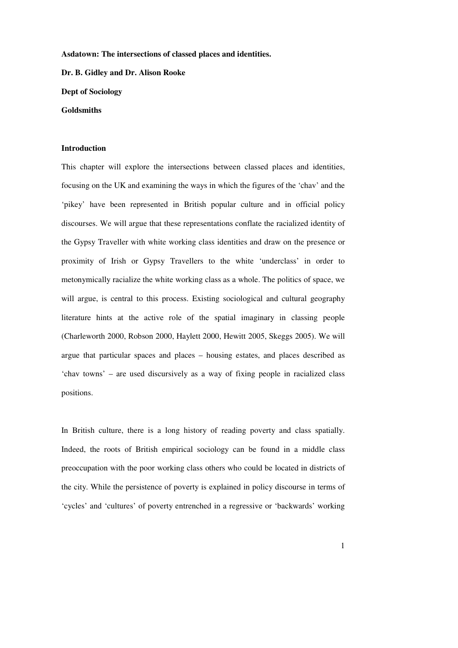**Asdatown: The intersections of classed places and identities.** 

**Dr. B. Gidley and Dr. Alison Rooke Dept of Sociology** 

#### **Goldsmiths**

# **Introduction**

This chapter will explore the intersections between classed places and identities, focusing on the UK and examining the ways in which the figures of the 'chav' and the 'pikey' have been represented in British popular culture and in official policy discourses. We will argue that these representations conflate the racialized identity of the Gypsy Traveller with white working class identities and draw on the presence or proximity of Irish or Gypsy Travellers to the white 'underclass' in order to metonymically racialize the white working class as a whole. The politics of space, we will argue, is central to this process. Existing sociological and cultural geography literature hints at the active role of the spatial imaginary in classing people (Charleworth 2000, Robson 2000, Haylett 2000, Hewitt 2005, Skeggs 2005). We will argue that particular spaces and places – housing estates, and places described as 'chav towns' – are used discursively as a way of fixing people in racialized class positions.

In British culture, there is a long history of reading poverty and class spatially. Indeed, the roots of British empirical sociology can be found in a middle class preoccupation with the poor working class others who could be located in districts of the city. While the persistence of poverty is explained in policy discourse in terms of 'cycles' and 'cultures' of poverty entrenched in a regressive or 'backwards' working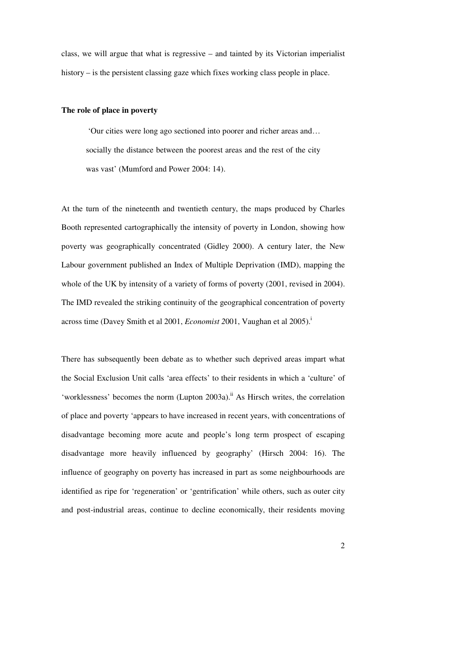class, we will argue that what is regressive – and tainted by its Victorian imperialist history – is the persistent classing gaze which fixes working class people in place.

### **The role of place in poverty**

'Our cities were long ago sectioned into poorer and richer areas and… socially the distance between the poorest areas and the rest of the city was vast' (Mumford and Power 2004: 14).

At the turn of the nineteenth and twentieth century, the maps produced by Charles Booth represented cartographically the intensity of poverty in London, showing how poverty was geographically concentrated (Gidley 2000). A century later, the New Labour government published an Index of Multiple Deprivation (IMD), mapping the whole of the UK by intensity of a variety of forms of poverty (2001, revised in 2004). The IMD revealed the striking continuity of the geographical concentration of poverty across time (Davey Smith et al 2001, *Economist* 2001, Vaughan et al 2005).<sup>i</sup>

There has subsequently been debate as to whether such deprived areas impart what the Social Exclusion Unit calls 'area effects' to their residents in which a 'culture' of 'worklessness' becomes the norm (Lupton 2003a).<sup>ii</sup> As Hirsch writes, the correlation of place and poverty 'appears to have increased in recent years, with concentrations of disadvantage becoming more acute and people's long term prospect of escaping disadvantage more heavily influenced by geography' (Hirsch 2004: 16). The influence of geography on poverty has increased in part as some neighbourhoods are identified as ripe for 'regeneration' or 'gentrification' while others, such as outer city and post-industrial areas, continue to decline economically, their residents moving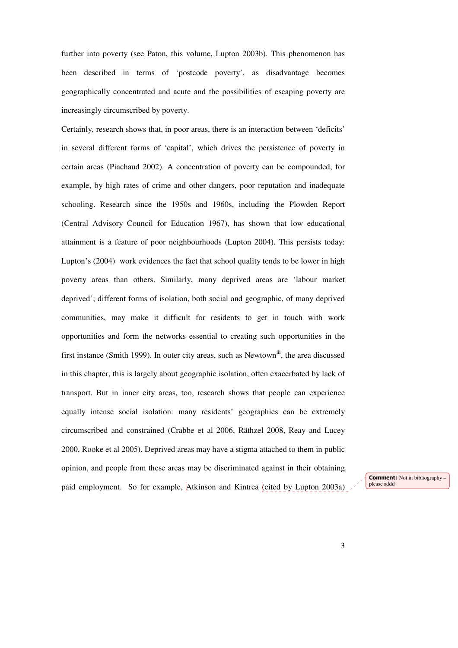further into poverty (see Paton, this volume, Lupton 2003b). This phenomenon has been described in terms of 'postcode poverty', as disadvantage becomes geographically concentrated and acute and the possibilities of escaping poverty are increasingly circumscribed by poverty.

Certainly, research shows that, in poor areas, there is an interaction between 'deficits' in several different forms of 'capital', which drives the persistence of poverty in certain areas (Piachaud 2002). A concentration of poverty can be compounded, for example, by high rates of crime and other dangers, poor reputation and inadequate schooling. Research since the 1950s and 1960s, including the Plowden Report (Central Advisory Council for Education 1967), has shown that low educational attainment is a feature of poor neighbourhoods (Lupton 2004). This persists today: Lupton's (2004) work evidences the fact that school quality tends to be lower in high poverty areas than others. Similarly, many deprived areas are 'labour market deprived'; different forms of isolation, both social and geographic, of many deprived communities, may make it difficult for residents to get in touch with work opportunities and form the networks essential to creating such opportunities in the first instance (Smith 1999). In outer city areas, such as Newtown<sup>iii</sup>, the area discussed in this chapter, this is largely about geographic isolation, often exacerbated by lack of transport. But in inner city areas, too, research shows that people can experience equally intense social isolation: many residents' geographies can be extremely circumscribed and constrained (Crabbe et al 2006, Räthzel 2008, Reay and Lucey 2000, Rooke et al 2005). Deprived areas may have a stigma attached to them in public opinion, and people from these areas may be discriminated against in their obtaining paid employment. So for example, Atkinson and Kintrea (cited by Lupton 2003a)

Comment: Not in bibliography – please addd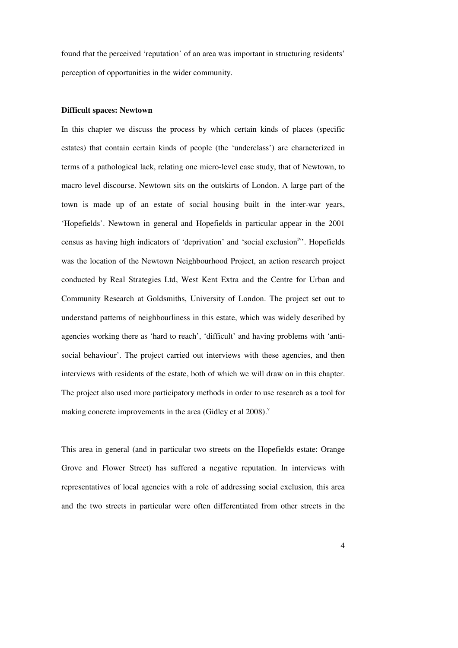found that the perceived 'reputation' of an area was important in structuring residents' perception of opportunities in the wider community.

### **Difficult spaces: Newtown**

In this chapter we discuss the process by which certain kinds of places (specific estates) that contain certain kinds of people (the 'underclass') are characterized in terms of a pathological lack, relating one micro-level case study, that of Newtown, to macro level discourse. Newtown sits on the outskirts of London. A large part of the town is made up of an estate of social housing built in the inter-war years, 'Hopefields'. Newtown in general and Hopefields in particular appear in the 2001 census as having high indicators of 'deprivation' and 'social exclusion<sup>iv</sup>'. Hopefields was the location of the Newtown Neighbourhood Project, an action research project conducted by Real Strategies Ltd, West Kent Extra and the Centre for Urban and Community Research at Goldsmiths, University of London. The project set out to understand patterns of neighbourliness in this estate, which was widely described by agencies working there as 'hard to reach', 'difficult' and having problems with 'antisocial behaviour'. The project carried out interviews with these agencies, and then interviews with residents of the estate, both of which we will draw on in this chapter. The project also used more participatory methods in order to use research as a tool for making concrete improvements in the area (Gidley et al  $2008$ ).<sup>v</sup>

This area in general (and in particular two streets on the Hopefields estate: Orange Grove and Flower Street) has suffered a negative reputation. In interviews with representatives of local agencies with a role of addressing social exclusion, this area and the two streets in particular were often differentiated from other streets in the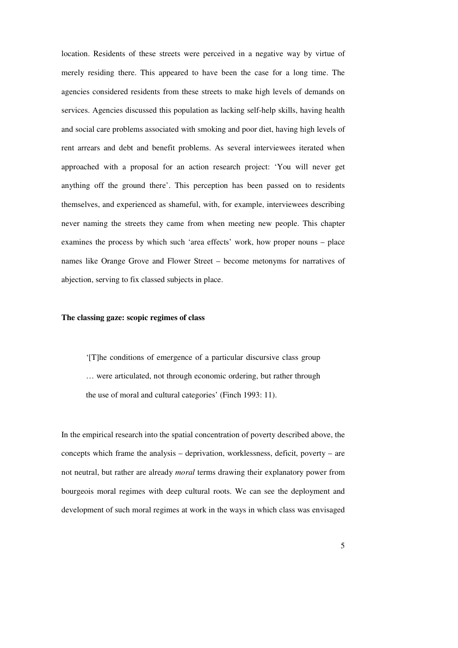location. Residents of these streets were perceived in a negative way by virtue of merely residing there. This appeared to have been the case for a long time. The agencies considered residents from these streets to make high levels of demands on services. Agencies discussed this population as lacking self-help skills, having health and social care problems associated with smoking and poor diet, having high levels of rent arrears and debt and benefit problems. As several interviewees iterated when approached with a proposal for an action research project: 'You will never get anything off the ground there'. This perception has been passed on to residents themselves, and experienced as shameful, with, for example, interviewees describing never naming the streets they came from when meeting new people. This chapter examines the process by which such 'area effects' work, how proper nouns – place names like Orange Grove and Flower Street – become metonyms for narratives of abjection, serving to fix classed subjects in place.

### **The classing gaze: scopic regimes of class**

'[T]he conditions of emergence of a particular discursive class group … were articulated, not through economic ordering, but rather through the use of moral and cultural categories' (Finch 1993: 11).

In the empirical research into the spatial concentration of poverty described above, the concepts which frame the analysis – deprivation, worklessness, deficit, poverty – are not neutral, but rather are already *moral* terms drawing their explanatory power from bourgeois moral regimes with deep cultural roots. We can see the deployment and development of such moral regimes at work in the ways in which class was envisaged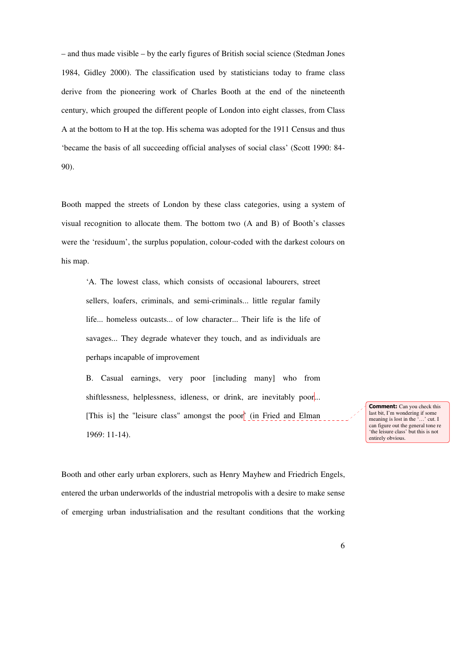– and thus made visible – by the early figures of British social science (Stedman Jones 1984, Gidley 2000). The classification used by statisticians today to frame class derive from the pioneering work of Charles Booth at the end of the nineteenth century, which grouped the different people of London into eight classes, from Class A at the bottom to H at the top. His schema was adopted for the 1911 Census and thus 'became the basis of all succeeding official analyses of social class' (Scott 1990: 84- 90).

Booth mapped the streets of London by these class categories, using a system of visual recognition to allocate them. The bottom two (A and B) of Booth's classes were the 'residuum', the surplus population, colour-coded with the darkest colours on his map.

'A. The lowest class, which consists of occasional labourers, street sellers, loafers, criminals, and semi-criminals... little regular family life... homeless outcasts... of low character... Their life is the life of savages... They degrade whatever they touch, and as individuals are perhaps incapable of improvement

B. Casual earnings, very poor [including many] who from shiftlessness, helplessness, idleness, or drink, are inevitably poor... [This is] the "leisure class" amongst the poor' (in Fried and Elman 1969: 11-14).

**Comment:** Can you check this last bit, I'm wondering if some meaning is lost in the '…' cut. I can figure out the general tone re 'the leisure class' but this is not entirely obvious.

Booth and other early urban explorers, such as Henry Mayhew and Friedrich Engels, entered the urban underworlds of the industrial metropolis with a desire to make sense of emerging urban industrialisation and the resultant conditions that the working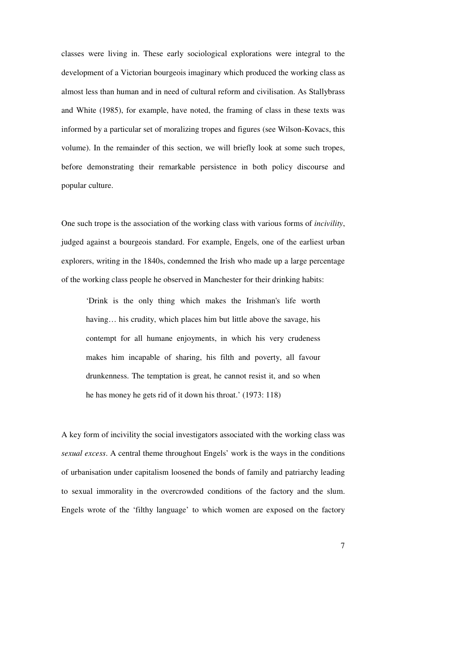classes were living in. These early sociological explorations were integral to the development of a Victorian bourgeois imaginary which produced the working class as almost less than human and in need of cultural reform and civilisation. As Stallybrass and White (1985), for example, have noted, the framing of class in these texts was informed by a particular set of moralizing tropes and figures (see Wilson-Kovacs, this volume). In the remainder of this section, we will briefly look at some such tropes, before demonstrating their remarkable persistence in both policy discourse and popular culture.

One such trope is the association of the working class with various forms of *incivility*, judged against a bourgeois standard. For example, Engels, one of the earliest urban explorers, writing in the 1840s, condemned the Irish who made up a large percentage of the working class people he observed in Manchester for their drinking habits:

'Drink is the only thing which makes the Irishman's life worth having... his crudity, which places him but little above the savage, his contempt for all humane enjoyments, in which his very crudeness makes him incapable of sharing, his filth and poverty, all favour drunkenness. The temptation is great, he cannot resist it, and so when he has money he gets rid of it down his throat.' (1973: 118)

A key form of incivility the social investigators associated with the working class was *sexual excess*. A central theme throughout Engels' work is the ways in the conditions of urbanisation under capitalism loosened the bonds of family and patriarchy leading to sexual immorality in the overcrowded conditions of the factory and the slum. Engels wrote of the 'filthy language' to which women are exposed on the factory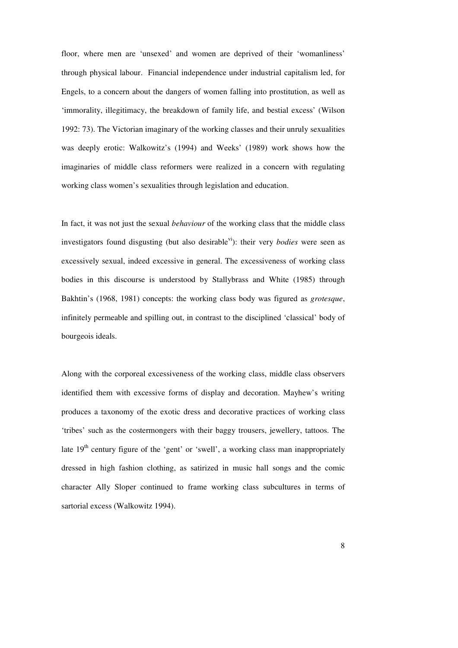floor, where men are 'unsexed' and women are deprived of their 'womanliness' through physical labour. Financial independence under industrial capitalism led, for Engels, to a concern about the dangers of women falling into prostitution, as well as 'immorality, illegitimacy, the breakdown of family life, and bestial excess' (Wilson 1992: 73). The Victorian imaginary of the working classes and their unruly sexualities was deeply erotic: Walkowitz's (1994) and Weeks' (1989) work shows how the imaginaries of middle class reformers were realized in a concern with regulating working class women's sexualities through legislation and education.

In fact, it was not just the sexual *behaviour* of the working class that the middle class investigators found disgusting (but also desirable  $\mathbf{v}^{(i)}$ ): their very *bodies* were seen as excessively sexual, indeed excessive in general. The excessiveness of working class bodies in this discourse is understood by Stallybrass and White (1985) through Bakhtin's (1968, 1981) concepts: the working class body was figured as *grotesque*, infinitely permeable and spilling out, in contrast to the disciplined 'classical' body of bourgeois ideals.

Along with the corporeal excessiveness of the working class, middle class observers identified them with excessive forms of display and decoration. Mayhew's writing produces a taxonomy of the exotic dress and decorative practices of working class 'tribes' such as the costermongers with their baggy trousers, jewellery, tattoos. The late  $19<sup>th</sup>$  century figure of the 'gent' or 'swell', a working class man inappropriately dressed in high fashion clothing, as satirized in music hall songs and the comic character Ally Sloper continued to frame working class subcultures in terms of sartorial excess (Walkowitz 1994).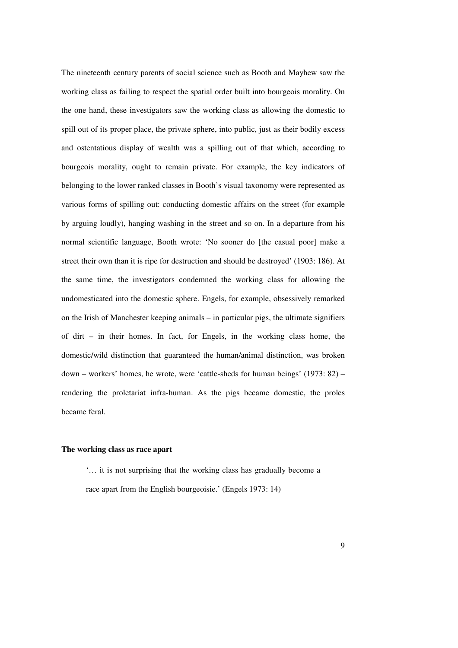The nineteenth century parents of social science such as Booth and Mayhew saw the working class as failing to respect the spatial order built into bourgeois morality. On the one hand, these investigators saw the working class as allowing the domestic to spill out of its proper place, the private sphere, into public, just as their bodily excess and ostentatious display of wealth was a spilling out of that which, according to bourgeois morality, ought to remain private. For example, the key indicators of belonging to the lower ranked classes in Booth's visual taxonomy were represented as various forms of spilling out: conducting domestic affairs on the street (for example by arguing loudly), hanging washing in the street and so on. In a departure from his normal scientific language, Booth wrote: 'No sooner do [the casual poor] make a street their own than it is ripe for destruction and should be destroyed' (1903: 186). At the same time, the investigators condemned the working class for allowing the undomesticated into the domestic sphere. Engels, for example, obsessively remarked on the Irish of Manchester keeping animals – in particular pigs, the ultimate signifiers of dirt – in their homes. In fact, for Engels, in the working class home, the domestic/wild distinction that guaranteed the human/animal distinction, was broken down – workers' homes, he wrote, were 'cattle-sheds for human beings' (1973: 82) – rendering the proletariat infra-human. As the pigs became domestic, the proles became feral.

# **The working class as race apart**

'… it is not surprising that the working class has gradually become a race apart from the English bourgeoisie.' (Engels 1973: 14)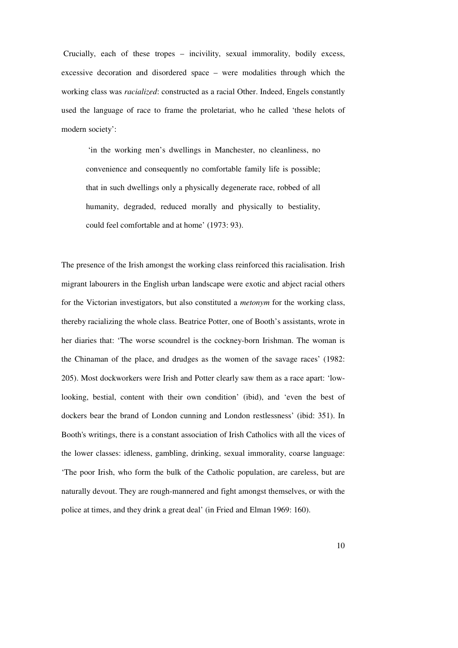Crucially, each of these tropes – incivility, sexual immorality, bodily excess, excessive decoration and disordered space – were modalities through which the working class was *racialized*: constructed as a racial Other. Indeed, Engels constantly used the language of race to frame the proletariat, who he called 'these helots of modern society':

 'in the working men's dwellings in Manchester, no cleanliness, no convenience and consequently no comfortable family life is possible; that in such dwellings only a physically degenerate race, robbed of all humanity, degraded, reduced morally and physically to bestiality, could feel comfortable and at home' (1973: 93).

The presence of the Irish amongst the working class reinforced this racialisation. Irish migrant labourers in the English urban landscape were exotic and abject racial others for the Victorian investigators, but also constituted a *metonym* for the working class, thereby racializing the whole class. Beatrice Potter, one of Booth's assistants, wrote in her diaries that: 'The worse scoundrel is the cockney-born Irishman. The woman is the Chinaman of the place, and drudges as the women of the savage races' (1982: 205). Most dockworkers were Irish and Potter clearly saw them as a race apart: 'lowlooking, bestial, content with their own condition' (ibid), and 'even the best of dockers bear the brand of London cunning and London restlessness' (ibid: 351). In Booth's writings, there is a constant association of Irish Catholics with all the vices of the lower classes: idleness, gambling, drinking, sexual immorality, coarse language: 'The poor Irish, who form the bulk of the Catholic population, are careless, but are naturally devout. They are rough-mannered and fight amongst themselves, or with the police at times, and they drink a great deal' (in Fried and Elman 1969: 160).

10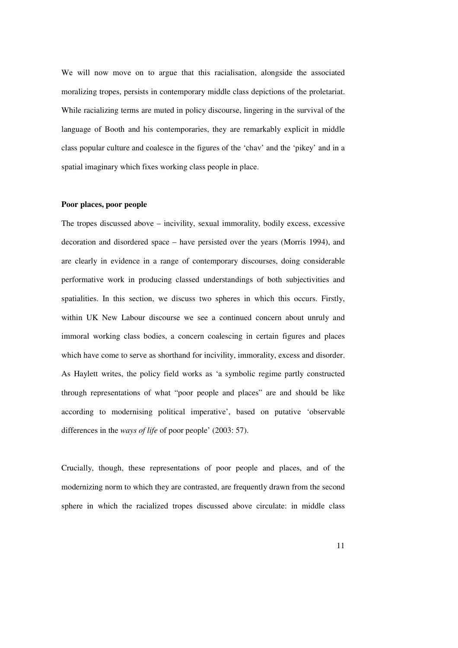We will now move on to argue that this racialisation, alongside the associated moralizing tropes, persists in contemporary middle class depictions of the proletariat. While racializing terms are muted in policy discourse, lingering in the survival of the language of Booth and his contemporaries, they are remarkably explicit in middle class popular culture and coalesce in the figures of the 'chav' and the 'pikey' and in a spatial imaginary which fixes working class people in place.

## **Poor places, poor people**

The tropes discussed above – incivility, sexual immorality, bodily excess, excessive decoration and disordered space – have persisted over the years (Morris 1994), and are clearly in evidence in a range of contemporary discourses, doing considerable performative work in producing classed understandings of both subjectivities and spatialities. In this section, we discuss two spheres in which this occurs. Firstly, within UK New Labour discourse we see a continued concern about unruly and immoral working class bodies, a concern coalescing in certain figures and places which have come to serve as shorthand for incivility, immorality, excess and disorder. As Haylett writes, the policy field works as 'a symbolic regime partly constructed through representations of what "poor people and places" are and should be like according to modernising political imperative', based on putative 'observable differences in the *ways of life* of poor people' (2003: 57).

Crucially, though, these representations of poor people and places, and of the modernizing norm to which they are contrasted, are frequently drawn from the second sphere in which the racialized tropes discussed above circulate: in middle class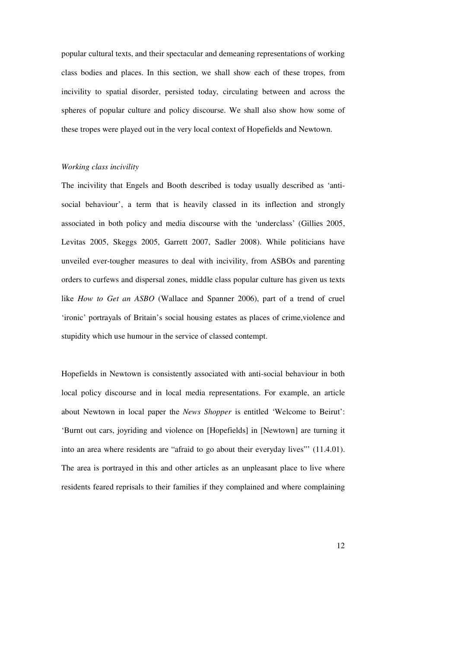popular cultural texts, and their spectacular and demeaning representations of working class bodies and places. In this section, we shall show each of these tropes, from incivility to spatial disorder, persisted today, circulating between and across the spheres of popular culture and policy discourse. We shall also show how some of these tropes were played out in the very local context of Hopefields and Newtown.

### *Working class incivility*

The incivility that Engels and Booth described is today usually described as 'antisocial behaviour', a term that is heavily classed in its inflection and strongly associated in both policy and media discourse with the 'underclass' (Gillies 2005, Levitas 2005, Skeggs 2005, Garrett 2007, Sadler 2008). While politicians have unveiled ever-tougher measures to deal with incivility, from ASBOs and parenting orders to curfews and dispersal zones, middle class popular culture has given us texts like *How to Get an ASBO* (Wallace and Spanner 2006), part of a trend of cruel 'ironic' portrayals of Britain's social housing estates as places of crime,violence and stupidity which use humour in the service of classed contempt.

Hopefields in Newtown is consistently associated with anti-social behaviour in both local policy discourse and in local media representations. For example, an article about Newtown in local paper the *News Shopper* is entitled 'Welcome to Beirut': 'Burnt out cars, joyriding and violence on [Hopefields] in [Newtown] are turning it into an area where residents are "afraid to go about their everyday lives"' (11.4.01). The area is portrayed in this and other articles as an unpleasant place to live where residents feared reprisals to their families if they complained and where complaining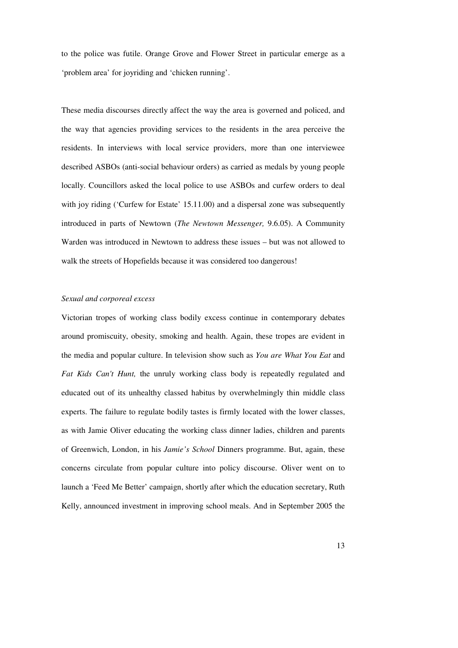to the police was futile. Orange Grove and Flower Street in particular emerge as a 'problem area' for joyriding and 'chicken running'.

These media discourses directly affect the way the area is governed and policed, and the way that agencies providing services to the residents in the area perceive the residents. In interviews with local service providers, more than one interviewee described ASBOs (anti-social behaviour orders) as carried as medals by young people locally. Councillors asked the local police to use ASBOs and curfew orders to deal with joy riding ('Curfew for Estate' 15.11.00) and a dispersal zone was subsequently introduced in parts of Newtown (*The Newtown Messenger,* 9.6.05). A Community Warden was introduced in Newtown to address these issues – but was not allowed to walk the streets of Hopefields because it was considered too dangerous!

## *Sexual and corporeal excess*

Victorian tropes of working class bodily excess continue in contemporary debates around promiscuity, obesity, smoking and health. Again, these tropes are evident in the media and popular culture. In television show such as *You are What You Eat* and *Fat Kids Can't Hunt,* the unruly working class body is repeatedly regulated and educated out of its unhealthy classed habitus by overwhelmingly thin middle class experts. The failure to regulate bodily tastes is firmly located with the lower classes, as with Jamie Oliver educating the working class dinner ladies, children and parents of Greenwich, London, in his *Jamie's School* Dinners programme. But, again, these concerns circulate from popular culture into policy discourse. Oliver went on to launch a 'Feed Me Better' campaign, shortly after which the education secretary, Ruth Kelly, announced investment in improving school meals. And in September 2005 the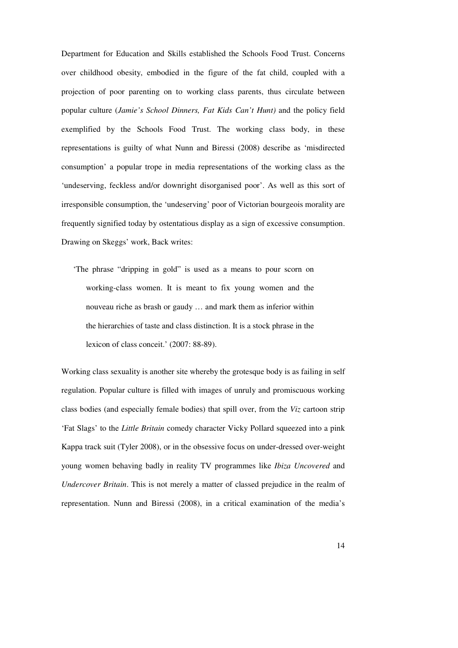Department for Education and Skills established the Schools Food Trust. Concerns over childhood obesity, embodied in the figure of the fat child, coupled with a projection of poor parenting on to working class parents, thus circulate between popular culture (*Jamie's School Dinners, Fat Kids Can't Hunt)* and the policy field exemplified by the Schools Food Trust. The working class body, in these representations is guilty of what Nunn and Biressi (2008) describe as 'misdirected consumption' a popular trope in media representations of the working class as the 'undeserving, feckless and/or downright disorganised poor'. As well as this sort of irresponsible consumption, the 'undeserving' poor of Victorian bourgeois morality are frequently signified today by ostentatious display as a sign of excessive consumption. Drawing on Skeggs' work, Back writes:

'The phrase "dripping in gold" is used as a means to pour scorn on working-class women. It is meant to fix young women and the nouveau riche as brash or gaudy … and mark them as inferior within the hierarchies of taste and class distinction. It is a stock phrase in the lexicon of class conceit.' (2007: 88-89).

Working class sexuality is another site whereby the grotesque body is as failing in self regulation. Popular culture is filled with images of unruly and promiscuous working class bodies (and especially female bodies) that spill over, from the *Viz* cartoon strip 'Fat Slags' to the *Little Britain* comedy character Vicky Pollard squeezed into a pink Kappa track suit (Tyler 2008), or in the obsessive focus on under-dressed over-weight young women behaving badly in reality TV programmes like *Ibiza Uncovered* and *Undercover Britain*. This is not merely a matter of classed prejudice in the realm of representation. Nunn and Biressi (2008), in a critical examination of the media's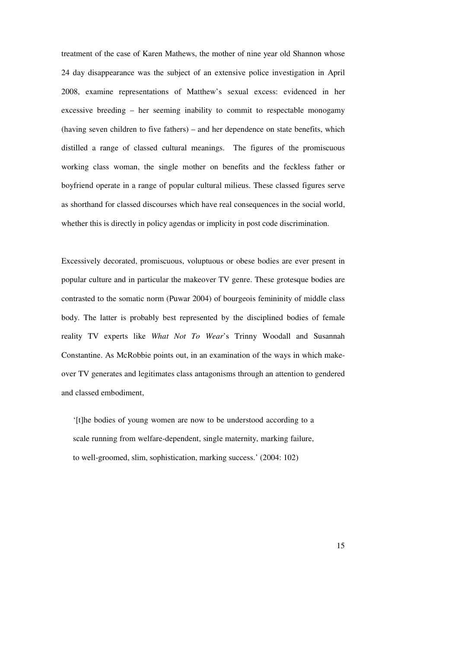treatment of the case of Karen Mathews, the mother of nine year old Shannon whose 24 day disappearance was the subject of an extensive police investigation in April 2008, examine representations of Matthew's sexual excess: evidenced in her excessive breeding – her seeming inability to commit to respectable monogamy (having seven children to five fathers) – and her dependence on state benefits, which distilled a range of classed cultural meanings. The figures of the promiscuous working class woman, the single mother on benefits and the feckless father or boyfriend operate in a range of popular cultural milieus. These classed figures serve as shorthand for classed discourses which have real consequences in the social world, whether this is directly in policy agendas or implicity in post code discrimination.

Excessively decorated, promiscuous, voluptuous or obese bodies are ever present in popular culture and in particular the makeover TV genre. These grotesque bodies are contrasted to the somatic norm (Puwar 2004) of bourgeois femininity of middle class body. The latter is probably best represented by the disciplined bodies of female reality TV experts like *What Not To Wear*'s Trinny Woodall and Susannah Constantine. As McRobbie points out, in an examination of the ways in which makeover TV generates and legitimates class antagonisms through an attention to gendered and classed embodiment,

'[t]he bodies of young women are now to be understood according to a scale running from welfare-dependent, single maternity, marking failure, to well-groomed, slim, sophistication, marking success.' (2004: 102)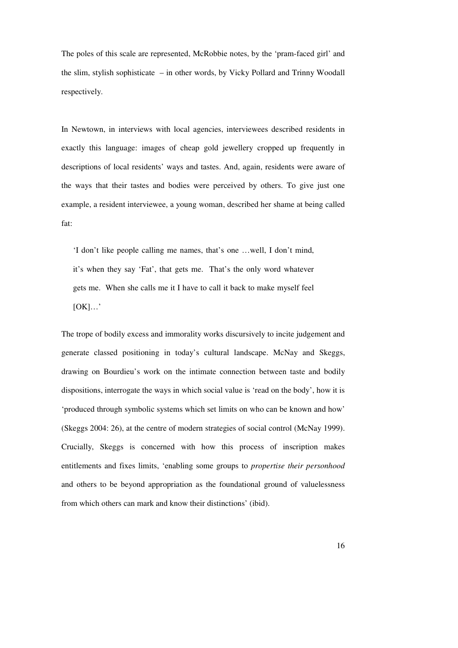The poles of this scale are represented, McRobbie notes, by the 'pram-faced girl' and the slim, stylish sophisticate – in other words, by Vicky Pollard and Trinny Woodall respectively.

In Newtown, in interviews with local agencies, interviewees described residents in exactly this language: images of cheap gold jewellery cropped up frequently in descriptions of local residents' ways and tastes. And, again, residents were aware of the ways that their tastes and bodies were perceived by others. To give just one example, a resident interviewee, a young woman, described her shame at being called fat:

'I don't like people calling me names, that's one …well, I don't mind, it's when they say 'Fat', that gets me. That's the only word whatever gets me. When she calls me it I have to call it back to make myself feel  $[OK]...$ 

The trope of bodily excess and immorality works discursively to incite judgement and generate classed positioning in today's cultural landscape. McNay and Skeggs, drawing on Bourdieu's work on the intimate connection between taste and bodily dispositions, interrogate the ways in which social value is 'read on the body', how it is 'produced through symbolic systems which set limits on who can be known and how' (Skeggs 2004: 26), at the centre of modern strategies of social control (McNay 1999). Crucially, Skeggs is concerned with how this process of inscription makes entitlements and fixes limits, 'enabling some groups to *propertise their personhood*  and others to be beyond appropriation as the foundational ground of valuelessness from which others can mark and know their distinctions' (ibid).

16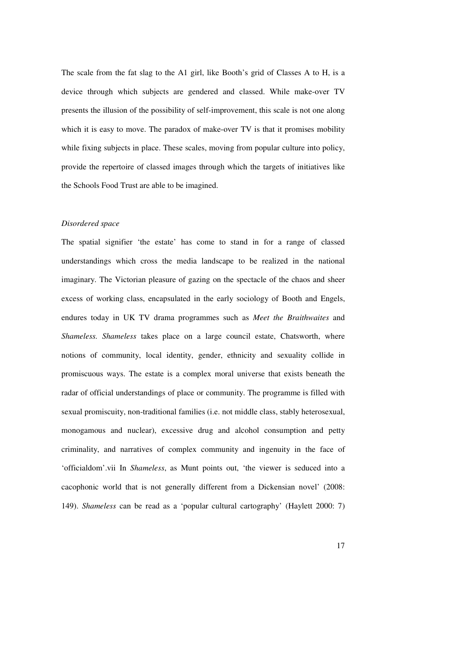The scale from the fat slag to the A1 girl, like Booth's grid of Classes A to H, is a device through which subjects are gendered and classed. While make-over TV presents the illusion of the possibility of self-improvement, this scale is not one along which it is easy to move. The paradox of make-over TV is that it promises mobility while fixing subjects in place. These scales, moving from popular culture into policy, provide the repertoire of classed images through which the targets of initiatives like the Schools Food Trust are able to be imagined.

#### *Disordered space*

The spatial signifier 'the estate' has come to stand in for a range of classed understandings which cross the media landscape to be realized in the national imaginary. The Victorian pleasure of gazing on the spectacle of the chaos and sheer excess of working class, encapsulated in the early sociology of Booth and Engels, endures today in UK TV drama programmes such as *Meet the Braithwaites* and *Shameless. Shameless* takes place on a large council estate, Chatsworth, where notions of community, local identity, gender, ethnicity and sexuality collide in promiscuous ways. The estate is a complex moral universe that exists beneath the radar of official understandings of place or community. The programme is filled with sexual promiscuity, non-traditional families (i.e. not middle class, stably heterosexual, monogamous and nuclear), excessive drug and alcohol consumption and petty criminality, and narratives of complex community and ingenuity in the face of 'officialdom'.vii In *Shameless*, as Munt points out, 'the viewer is seduced into a cacophonic world that is not generally different from a Dickensian novel' (2008: 149). *Shameless* can be read as a 'popular cultural cartography' (Haylett 2000: 7)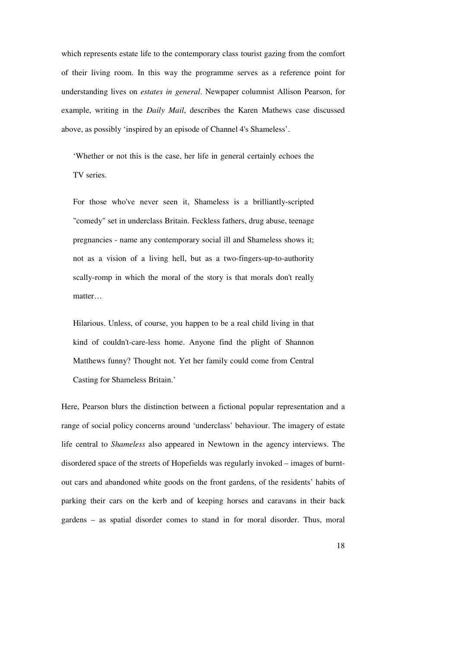which represents estate life to the contemporary class tourist gazing from the comfort of their living room. In this way the programme serves as a reference point for understanding lives on *estates in general*. Newpaper columnist Allison Pearson, for example, writing in the *Daily Mail*, describes the Karen Mathews case discussed above, as possibly 'inspired by an episode of Channel 4's Shameless'.

'Whether or not this is the case, her life in general certainly echoes the TV series.

For those who've never seen it, Shameless is a brilliantly-scripted "comedy" set in underclass Britain. Feckless fathers, drug abuse, teenage pregnancies - name any contemporary social ill and Shameless shows it; not as a vision of a living hell, but as a two-fingers-up-to-authority scally-romp in which the moral of the story is that morals don't really matter…

Hilarious. Unless, of course, you happen to be a real child living in that kind of couldn't-care-less home. Anyone find the plight of Shannon Matthews funny? Thought not. Yet her family could come from Central Casting for Shameless Britain.'

Here, Pearson blurs the distinction between a fictional popular representation and a range of social policy concerns around 'underclass' behaviour. The imagery of estate life central to *Shameless* also appeared in Newtown in the agency interviews. The disordered space of the streets of Hopefields was regularly invoked – images of burntout cars and abandoned white goods on the front gardens, of the residents' habits of parking their cars on the kerb and of keeping horses and caravans in their back gardens – as spatial disorder comes to stand in for moral disorder. Thus, moral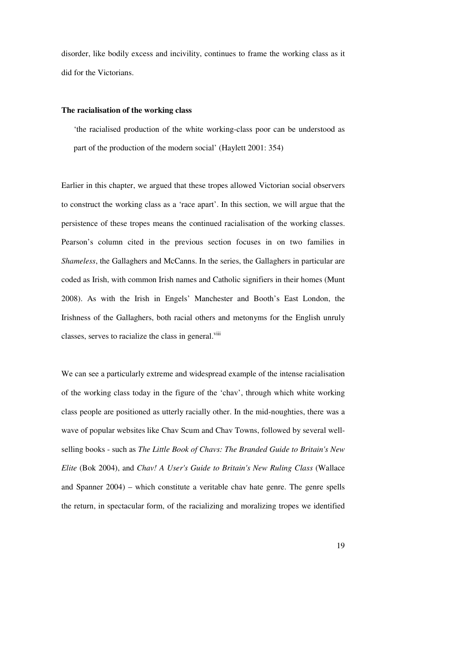disorder, like bodily excess and incivility, continues to frame the working class as it did for the Victorians.

### **The racialisation of the working class**

'the racialised production of the white working-class poor can be understood as part of the production of the modern social' (Haylett 2001: 354)

Earlier in this chapter, we argued that these tropes allowed Victorian social observers to construct the working class as a 'race apart'. In this section, we will argue that the persistence of these tropes means the continued racialisation of the working classes. Pearson's column cited in the previous section focuses in on two families in *Shameless*, the Gallaghers and McCanns. In the series, the Gallaghers in particular are coded as Irish, with common Irish names and Catholic signifiers in their homes (Munt 2008). As with the Irish in Engels' Manchester and Booth's East London, the Irishness of the Gallaghers, both racial others and metonyms for the English unruly classes, serves to racialize the class in general.<sup>viii</sup>

We can see a particularly extreme and widespread example of the intense racialisation of the working class today in the figure of the 'chav', through which white working class people are positioned as utterly racially other. In the mid-noughties, there was a wave of popular websites like Chav Scum and Chav Towns, followed by several wellselling books - such as *The Little Book of Chavs: The Branded Guide to Britain's New Elite* (Bok 2004), and *Chav! A User's Guide to Britain's New Ruling Class* (Wallace and Spanner 2004) – which constitute a veritable chav hate genre. The genre spells the return, in spectacular form, of the racializing and moralizing tropes we identified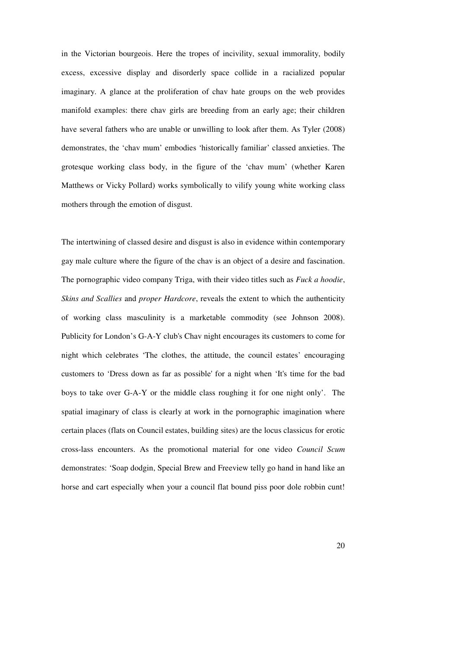in the Victorian bourgeois. Here the tropes of incivility, sexual immorality, bodily excess, excessive display and disorderly space collide in a racialized popular imaginary. A glance at the proliferation of chav hate groups on the web provides manifold examples: there chav girls are breeding from an early age; their children have several fathers who are unable or unwilling to look after them. As Tyler (2008) demonstrates, the 'chav mum' embodies 'historically familiar' classed anxieties. The grotesque working class body, in the figure of the 'chav mum' (whether Karen Matthews or Vicky Pollard) works symbolically to vilify young white working class mothers through the emotion of disgust.

The intertwining of classed desire and disgust is also in evidence within contemporary gay male culture where the figure of the chav is an object of a desire and fascination. The pornographic video company Triga, with their video titles such as *Fuck a hoodie*, *Skins and Scallies* and *proper Hardcore*, reveals the extent to which the authenticity of working class masculinity is a marketable commodity (see Johnson 2008). Publicity for London's G-A-Y club's Chav night encourages its customers to come for night which celebrates 'The clothes, the attitude, the council estates' encouraging customers to 'Dress down as far as possible' for a night when 'It's time for the bad boys to take over G-A-Y or the middle class roughing it for one night only'. The spatial imaginary of class is clearly at work in the pornographic imagination where certain places (flats on Council estates, building sites) are the locus classicus for erotic cross-lass encounters. As the promotional material for one video *Council Scum* demonstrates: 'Soap dodgin, Special Brew and Freeview telly go hand in hand like an horse and cart especially when your a council flat bound piss poor dole robbin cunt!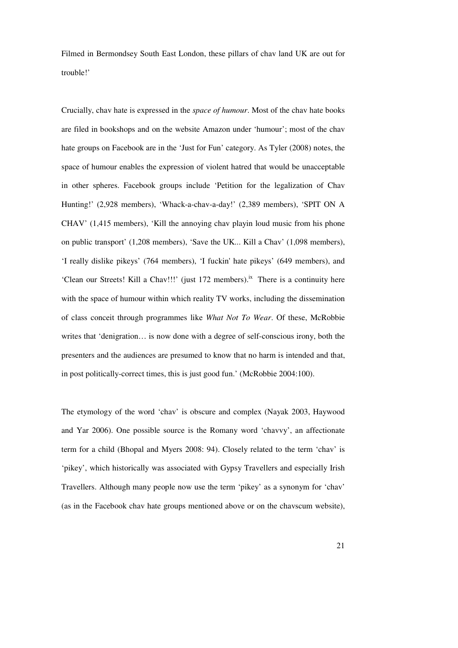Filmed in Bermondsey South East London, these pillars of chav land UK are out for trouble!'

Crucially, chav hate is expressed in the *space of humour*. Most of the chav hate books are filed in bookshops and on the website Amazon under 'humour'; most of the chav hate groups on Facebook are in the 'Just for Fun' category. As Tyler (2008) notes, the space of humour enables the expression of violent hatred that would be unacceptable in other spheres. Facebook groups include 'Petition for the legalization of Chav Hunting!' (2,928 members), 'Whack-a-chav-a-day!' (2,389 members), 'SPIT ON A CHAV' (1,415 members), 'Kill the annoying chav playin loud music from his phone on public transport' (1,208 members), 'Save the UK... Kill a Chav' (1,098 members), 'I really dislike pikeys' (764 members), 'I fuckin' hate pikeys' (649 members), and 'Clean our Streets! Kill a Chav!!!' (just 172 members).<sup>ix</sup> There is a continuity here with the space of humour within which reality TV works, including the dissemination of class conceit through programmes like *What Not To Wear*. Of these, McRobbie writes that 'denigration… is now done with a degree of self-conscious irony, both the presenters and the audiences are presumed to know that no harm is intended and that, in post politically-correct times, this is just good fun.' (McRobbie 2004:100).

The etymology of the word 'chav' is obscure and complex (Nayak 2003, Haywood and Yar 2006). One possible source is the Romany word 'chavvy', an affectionate term for a child (Bhopal and Myers 2008: 94). Closely related to the term 'chav' is 'pikey', which historically was associated with Gypsy Travellers and especially Irish Travellers. Although many people now use the term 'pikey' as a synonym for 'chav' (as in the Facebook chav hate groups mentioned above or on the chavscum website),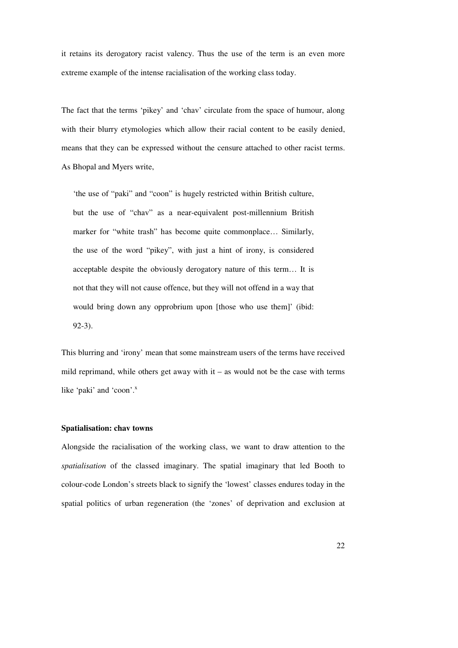it retains its derogatory racist valency. Thus the use of the term is an even more extreme example of the intense racialisation of the working class today.

The fact that the terms 'pikey' and 'chav' circulate from the space of humour, along with their blurry etymologies which allow their racial content to be easily denied, means that they can be expressed without the censure attached to other racist terms. As Bhopal and Myers write,

'the use of "paki" and "coon" is hugely restricted within British culture, but the use of "chav" as a near-equivalent post-millennium British marker for "white trash" has become quite commonplace… Similarly, the use of the word "pikey", with just a hint of irony, is considered acceptable despite the obviously derogatory nature of this term… It is not that they will not cause offence, but they will not offend in a way that would bring down any opprobrium upon [those who use them]' (ibid: 92-3).

This blurring and 'irony' mean that some mainstream users of the terms have received mild reprimand, while others get away with it – as would not be the case with terms like 'paki' and 'coon'. $x$ 

#### **Spatialisation: chav towns**

Alongside the racialisation of the working class, we want to draw attention to the *spatialisation* of the classed imaginary. The spatial imaginary that led Booth to colour-code London's streets black to signify the 'lowest' classes endures today in the spatial politics of urban regeneration (the 'zones' of deprivation and exclusion at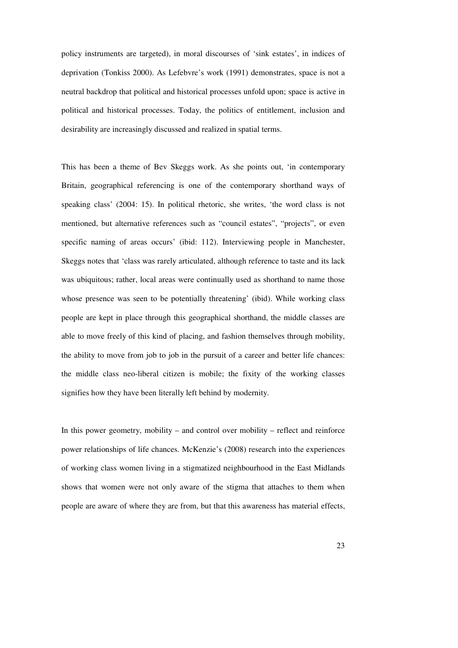policy instruments are targeted), in moral discourses of 'sink estates', in indices of deprivation (Tonkiss 2000). As Lefebvre's work (1991) demonstrates, space is not a neutral backdrop that political and historical processes unfold upon; space is active in political and historical processes. Today, the politics of entitlement, inclusion and desirability are increasingly discussed and realized in spatial terms.

This has been a theme of Bev Skeggs work. As she points out, 'in contemporary Britain, geographical referencing is one of the contemporary shorthand ways of speaking class' (2004: 15). In political rhetoric, she writes, 'the word class is not mentioned, but alternative references such as "council estates", "projects", or even specific naming of areas occurs' (ibid: 112). Interviewing people in Manchester, Skeggs notes that 'class was rarely articulated, although reference to taste and its lack was ubiquitous; rather, local areas were continually used as shorthand to name those whose presence was seen to be potentially threatening' (ibid). While working class people are kept in place through this geographical shorthand, the middle classes are able to move freely of this kind of placing, and fashion themselves through mobility, the ability to move from job to job in the pursuit of a career and better life chances: the middle class neo-liberal citizen is mobile; the fixity of the working classes signifies how they have been literally left behind by modernity.

In this power geometry, mobility – and control over mobility – reflect and reinforce power relationships of life chances. McKenzie's (2008) research into the experiences of working class women living in a stigmatized neighbourhood in the East Midlands shows that women were not only aware of the stigma that attaches to them when people are aware of where they are from, but that this awareness has material effects,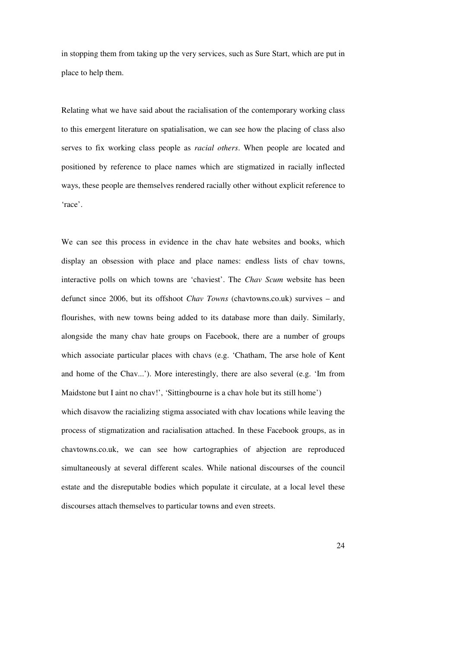in stopping them from taking up the very services, such as Sure Start, which are put in place to help them.

Relating what we have said about the racialisation of the contemporary working class to this emergent literature on spatialisation, we can see how the placing of class also serves to fix working class people as *racial others*. When people are located and positioned by reference to place names which are stigmatized in racially inflected ways, these people are themselves rendered racially other without explicit reference to 'race'.

We can see this process in evidence in the chav hate websites and books, which display an obsession with place and place names: endless lists of chav towns, interactive polls on which towns are 'chaviest'. The *Chav Scum* website has been defunct since 2006, but its offshoot *Chav Towns* (chavtowns.co.uk) survives – and flourishes, with new towns being added to its database more than daily. Similarly, alongside the many chav hate groups on Facebook, there are a number of groups which associate particular places with chavs (e.g. 'Chatham, The arse hole of Kent and home of the Chav...'). More interestingly, there are also several (e.g. 'Im from Maidstone but I aint no chav!', 'Sittingbourne is a chav hole but its still home') which disavow the racializing stigma associated with chav locations while leaving the process of stigmatization and racialisation attached. In these Facebook groups, as in chavtowns.co.uk, we can see how cartographies of abjection are reproduced simultaneously at several different scales. While national discourses of the council estate and the disreputable bodies which populate it circulate, at a local level these discourses attach themselves to particular towns and even streets.

24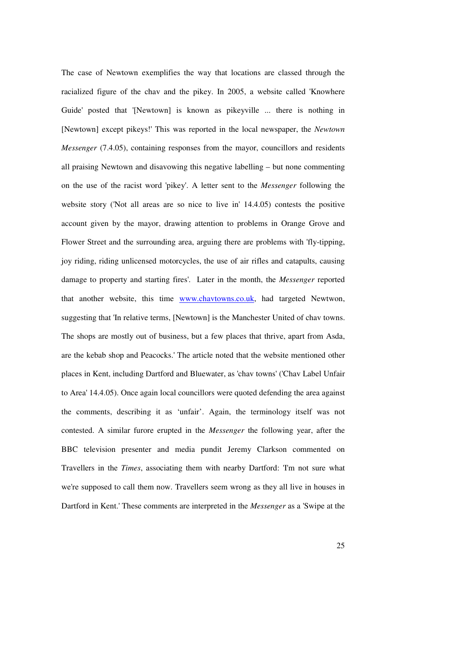The case of Newtown exemplifies the way that locations are classed through the racialized figure of the chav and the pikey. In 2005, a website called 'Knowhere Guide' posted that '[Newtown] is known as pikeyville ... there is nothing in [Newtown] except pikeys!' This was reported in the local newspaper, the *Newtown Messenger* (7.4.05), containing responses from the mayor, councillors and residents all praising Newtown and disavowing this negative labelling – but none commenting on the use of the racist word 'pikey'. A letter sent to the *Messenger* following the website story ('Not all areas are so nice to live in' 14.4.05) contests the positive account given by the mayor, drawing attention to problems in Orange Grove and Flower Street and the surrounding area, arguing there are problems with 'fly-tipping, joy riding, riding unlicensed motorcycles, the use of air rifles and catapults, causing damage to property and starting fires'. Later in the month, the *Messenger* reported that another website, this time **www.chavtowns.co.uk**, had targeted Newtwon, suggesting that 'In relative terms, [Newtown] is the Manchester United of chav towns. The shops are mostly out of business, but a few places that thrive, apart from Asda, are the kebab shop and Peacocks.' The article noted that the website mentioned other places in Kent, including Dartford and Bluewater, as 'chav towns' ('Chav Label Unfair to Area' 14.4.05). Once again local councillors were quoted defending the area against the comments, describing it as 'unfair'. Again, the terminology itself was not contested. A similar furore erupted in the *Messenger* the following year, after the BBC television presenter and media pundit Jeremy Clarkson commented on Travellers in the *Times*, associating them with nearby Dartford: 'I'm not sure what we're supposed to call them now. Travellers seem wrong as they all live in houses in Dartford in Kent.' These comments are interpreted in the *Messenger* as a 'Swipe at the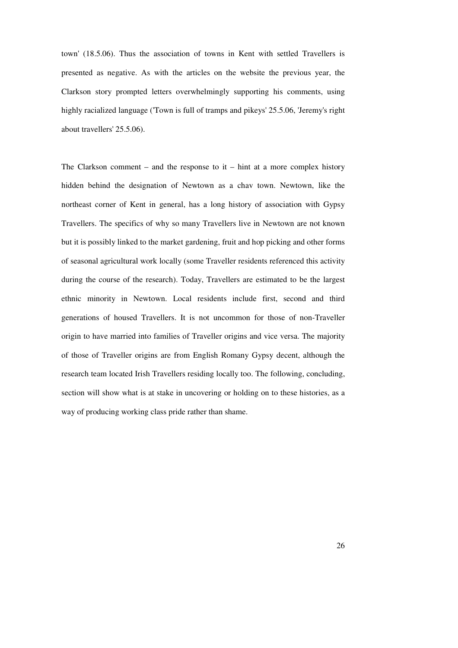town' (18.5.06). Thus the association of towns in Kent with settled Travellers is presented as negative. As with the articles on the website the previous year, the Clarkson story prompted letters overwhelmingly supporting his comments, using highly racialized language ('Town is full of tramps and pikeys' 25.5.06, 'Jeremy's right about travellers' 25.5.06).

The Clarkson comment – and the response to  $it$  – hint at a more complex history hidden behind the designation of Newtown as a chav town. Newtown, like the northeast corner of Kent in general, has a long history of association with Gypsy Travellers. The specifics of why so many Travellers live in Newtown are not known but it is possibly linked to the market gardening, fruit and hop picking and other forms of seasonal agricultural work locally (some Traveller residents referenced this activity during the course of the research). Today, Travellers are estimated to be the largest ethnic minority in Newtown. Local residents include first, second and third generations of housed Travellers. It is not uncommon for those of non-Traveller origin to have married into families of Traveller origins and vice versa. The majority of those of Traveller origins are from English Romany Gypsy decent, although the research team located Irish Travellers residing locally too. The following, concluding, section will show what is at stake in uncovering or holding on to these histories, as a way of producing working class pride rather than shame.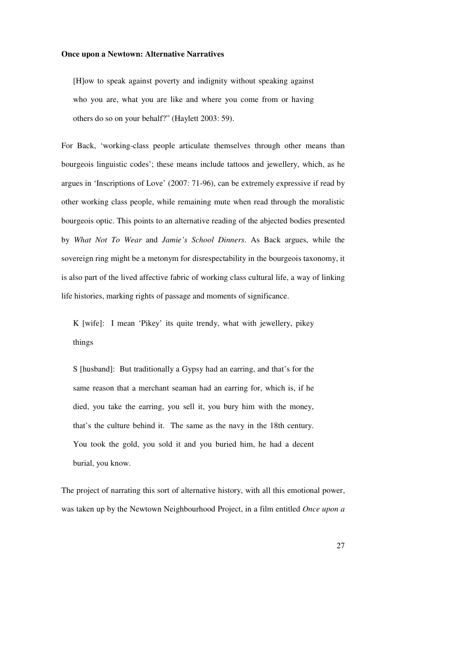### **Once upon a Newtown: Alternative Narratives**

[H]ow to speak against poverty and indignity without speaking against who you are, what you are like and where you come from or having others do so on your behalf?" (Haylett 2003: 59).

For Back, 'working-class people articulate themselves through other means than bourgeois linguistic codes'; these means include tattoos and jewellery, which, as he argues in 'Inscriptions of Love' (2007: 71-96), can be extremely expressive if read by other working class people, while remaining mute when read through the moralistic bourgeois optic. This points to an alternative reading of the abjected bodies presented by *What Not To Wear* and *Jamie's School Dinners*. As Back argues, while the sovereign ring might be a metonym for disrespectability in the bourgeois taxonomy, it is also part of the lived affective fabric of working class cultural life, a way of linking life histories, marking rights of passage and moments of significance.

K [wife]: I mean 'Pikey' its quite trendy, what with jewellery, pikey things

S [husband]: But traditionally a Gypsy had an earring, and that's for the same reason that a merchant seaman had an earring for, which is, if he died, you take the earring, you sell it, you bury him with the money, that's the culture behind it. The same as the navy in the 18th century. You took the gold, you sold it and you buried him, he had a decent burial, you know.

The project of narrating this sort of alternative history, with all this emotional power, was taken up by the Newtown Neighbourhood Project, in a film entitled *Once upon a*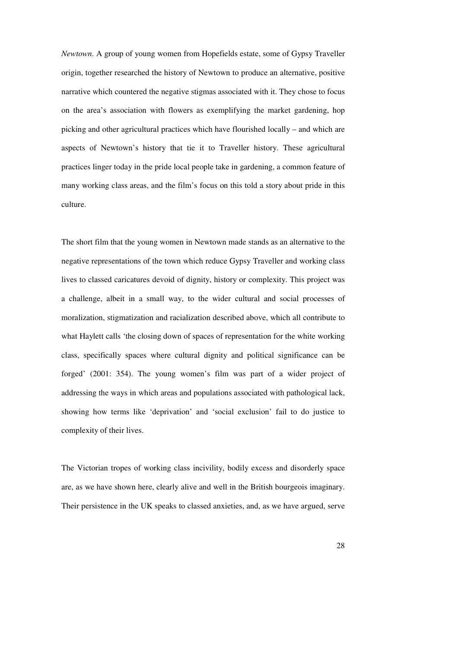*Newtown*. A group of young women from Hopefields estate, some of Gypsy Traveller origin, together researched the history of Newtown to produce an alternative, positive narrative which countered the negative stigmas associated with it. They chose to focus on the area's association with flowers as exemplifying the market gardening, hop picking and other agricultural practices which have flourished locally – and which are aspects of Newtown's history that tie it to Traveller history. These agricultural practices linger today in the pride local people take in gardening, a common feature of many working class areas, and the film's focus on this told a story about pride in this culture.

The short film that the young women in Newtown made stands as an alternative to the negative representations of the town which reduce Gypsy Traveller and working class lives to classed caricatures devoid of dignity, history or complexity. This project was a challenge, albeit in a small way, to the wider cultural and social processes of moralization, stigmatization and racialization described above, which all contribute to what Haylett calls 'the closing down of spaces of representation for the white working class, specifically spaces where cultural dignity and political significance can be forged' (2001: 354). The young women's film was part of a wider project of addressing the ways in which areas and populations associated with pathological lack, showing how terms like 'deprivation' and 'social exclusion' fail to do justice to complexity of their lives.

The Victorian tropes of working class incivility, bodily excess and disorderly space are, as we have shown here, clearly alive and well in the British bourgeois imaginary. Their persistence in the UK speaks to classed anxieties, and, as we have argued, serve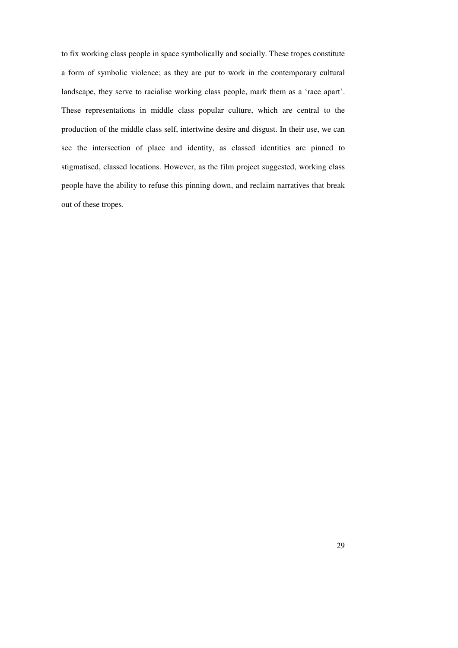to fix working class people in space symbolically and socially. These tropes constitute a form of symbolic violence; as they are put to work in the contemporary cultural landscape, they serve to racialise working class people, mark them as a 'race apart'. These representations in middle class popular culture, which are central to the production of the middle class self, intertwine desire and disgust. In their use, we can see the intersection of place and identity, as classed identities are pinned to stigmatised, classed locations. However, as the film project suggested, working class people have the ability to refuse this pinning down, and reclaim narratives that break out of these tropes.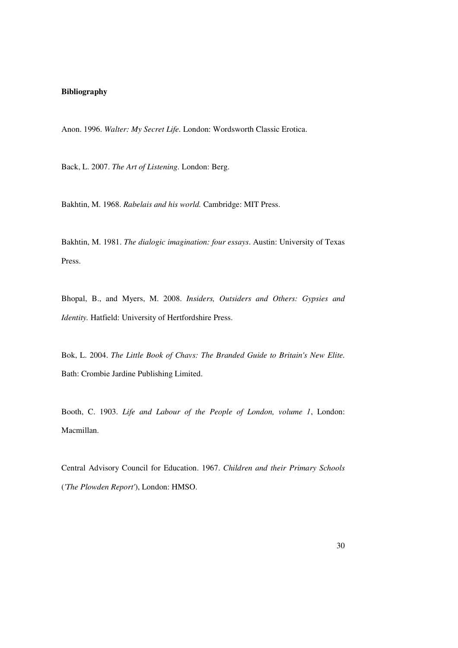# **Bibliography**

Anon. 1996. *Walter: My Secret Life.* London: Wordsworth Classic Erotica.

Back, L. 2007. *The Art of Listening.* London: Berg.

Bakhtin, M. 1968. *Rabelais and his world.* Cambridge: MIT Press.

Bakhtin, M. 1981. *The dialogic imagination: four essays*. Austin: University of Texas Press.

Bhopal, B., and Myers, M. 2008. *Insiders, Outsiders and Others: Gypsies and Identity.* Hatfield: University of Hertfordshire Press.

Bok, L. 2004. *The Little Book of Chavs: The Branded Guide to Britain's New Elite.* Bath: Crombie Jardine Publishing Limited.

Booth, C. 1903. *Life and Labour of the People of London, volume 1*, London: Macmillan.

Central Advisory Council for Education. 1967. *Children and their Primary Schools*  (*'The Plowden Report'*), London: HMSO.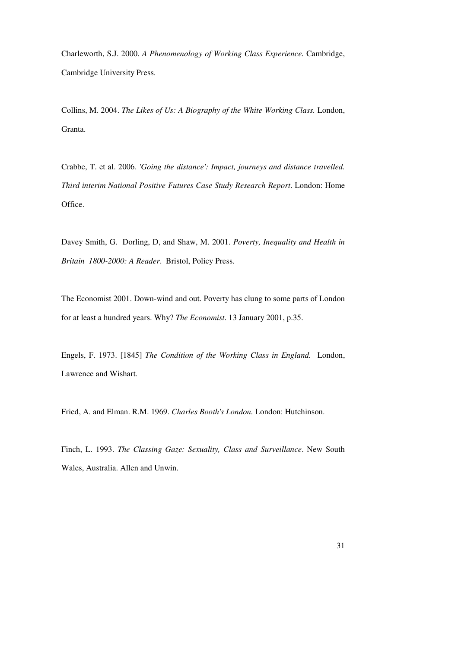Charleworth, S.J. 2000. *A Phenomenology of Working Class Experience.* Cambridge, Cambridge University Press.

Collins, M. 2004. *The Likes of Us: A Biography of the White Working Class.* London, Granta.

Crabbe, T. et al. 2006. *'Going the distance': Impact, journeys and distance travelled. Third interim National Positive Futures Case Study Research Report*. London: Home Office.

Davey Smith, G. Dorling, D, and Shaw, M. 2001. *Poverty, Inequality and Health in Britain 1800-2000: A Reader*. Bristol, Policy Press.

The Economist 2001. Down-wind and out. Poverty has clung to some parts of London for at least a hundred years. Why? *The Economist*. 13 January 2001, p.35.

Engels, F. 1973. [1845] *The Condition of the Working Class in England.* London, Lawrence and Wishart.

Fried, A. and Elman. R.M. 1969. *Charles Booth's London.* London: Hutchinson.

Finch, L. 1993. *The Classing Gaze: Sexuality, Class and Surveillance*. New South Wales, Australia. Allen and Unwin.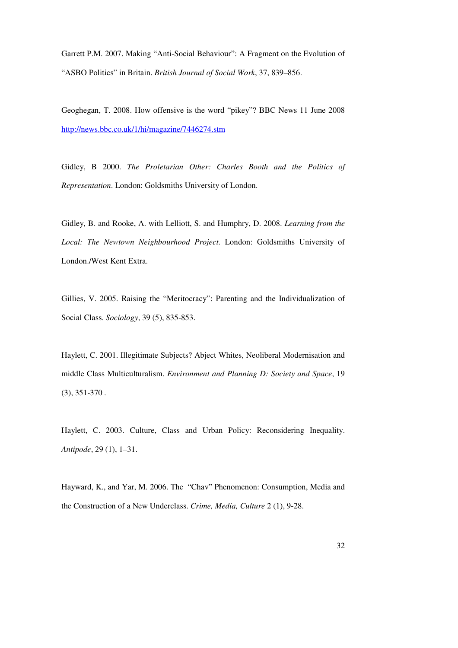Garrett P.M. 2007. Making "Anti-Social Behaviour": A Fragment on the Evolution of "ASBO Politics" in Britain. *British Journal of Social Work*, 37, 839–856.

Geoghegan, T. 2008. How offensive is the word "pikey"? BBC News 11 June 2008 http://news.bbc.co.uk/1/hi/magazine/7446274.stm

Gidley, B 2000. *The Proletarian Other: Charles Booth and the Politics of Representation*. London: Goldsmiths University of London.

Gidley, B. and Rooke, A. with Lelliott, S. and Humphry, D. 2008. *Learning from the Local: The Newtown Neighbourhood Project.* London: Goldsmiths University of London./West Kent Extra.

Gillies, V. 2005. Raising the "Meritocracy": Parenting and the Individualization of Social Class. *Sociology*, 39 (5), 835-853.

Haylett, C. 2001. Illegitimate Subjects? Abject Whites, Neoliberal Modernisation and middle Class Multiculturalism. *Environment and Planning D: Society and Space*, 19 (3), 351-370 *.* 

Haylett, C. 2003. Culture, Class and Urban Policy: Reconsidering Inequality. *Antipode*, 29 (1), 1–31.

Hayward, K., and Yar, M. 2006. The "Chav" Phenomenon: Consumption, Media and the Construction of a New Underclass. *Crime, Media, Culture* 2 (1), 9-28.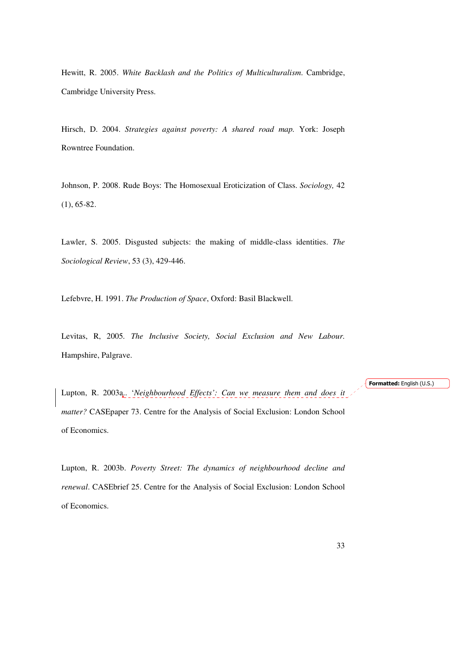Hewitt, R. 2005. *White Backlash and the Politics of Multiculturalism*. Cambridge, Cambridge University Press.

Hirsch, D. 2004. *Strategies against poverty: A shared road map.* York: Joseph Rowntree Foundation.

Johnson, P. 2008. Rude Boys: The Homosexual Eroticization of Class. *Sociology,* 42  $(1), 65-82.$ 

Lawler, S. 2005. Disgusted subjects: the making of middle-class identities. *The Sociological Review*, 53 (3), 429-446.

Lefebvre, H. 1991. *The Production of Space*, Oxford: Basil Blackwell.

Levitas, R, 2005*. The Inclusive Society, Social Exclusion and New Labour.* Hampshire, Palgrave.

Lupton, R. 2003a.. '*Neighbourhood Effects': Can we measure them and does it matter?* CASEpaper 73. Centre for the Analysis of Social Exclusion: London School of Economics.

Lupton, R. 2003b. *Poverty Street: The dynamics of neighbourhood decline and renewal*. CASEbrief 25. Centre for the Analysis of Social Exclusion: London School of Economics.

Formatted: English (U.S.)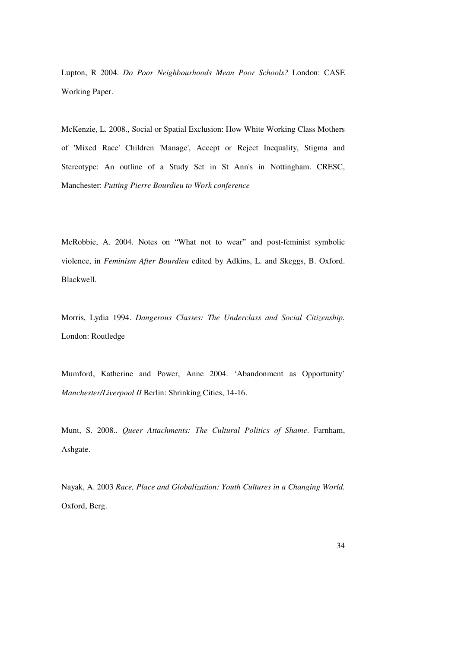Lupton, R 2004. *Do Poor Neighbourhoods Mean Poor Schools?* London: CASE Working Paper.

McKenzie, L. 2008., Social or Spatial Exclusion: How White Working Class Mothers of 'Mixed Race' Children 'Manage', Accept or Reject Inequality, Stigma and Stereotype: An outline of a Study Set in St Ann's in Nottingham. CRESC, Manchester: *Putting Pierre Bourdieu to Work conference* 

McRobbie, A. 2004. Notes on "What not to wear" and post-feminist symbolic violence, in *Feminism After Bourdieu* edited by Adkins, L. and Skeggs, B. Oxford. Blackwell.

Morris, Lydia 1994. *Dangerous Classes: The Underclass and Social Citizenship.*  London: Routledge

Mumford, Katherine and Power, Anne 2004. 'Abandonment as Opportunity' *Manchester/Liverpool II* Berlin: Shrinking Cities, 14-16.

Munt, S. 2008.. *Queer Attachments: The Cultural Politics of Shame*. Farnham, Ashgate.

Nayak, A. 2003 *Race, Place and Globalization: Youth Cultures in a Changing World.* Oxford, Berg.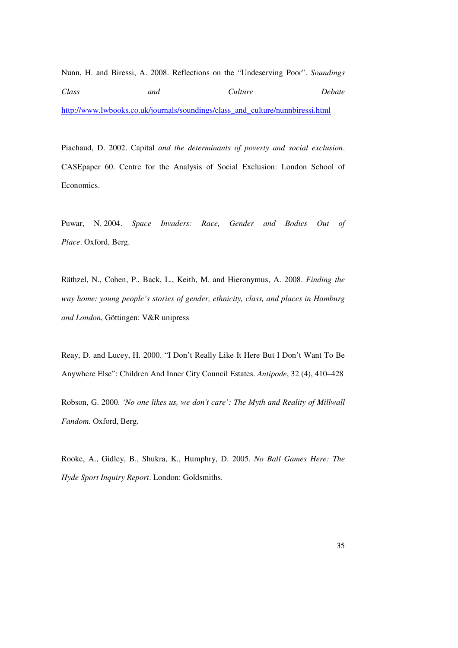Nunn, H. and Biressi, A. 2008. Reflections on the "Undeserving Poor". *Soundings Class and Culture Debate*  http://www.lwbooks.co.uk/journals/soundings/class\_and\_culture/nunnbiressi.html

Piachaud, D. 2002. Capital *and the determinants of poverty and social exclusion*. CASEpaper 60. Centre for the Analysis of Social Exclusion: London School of Economics.

Puwar, N. 2004. *Space Invaders: Race, Gender and Bodies Out of Place*. Oxford, Berg.

Räthzel, N., Cohen, P., Back, L., Keith, M. and Hieronymus, A. 2008. *Finding the way home: young people's stories of gender, ethnicity, class, and places in Hamburg and London*, Göttingen: V&R unipress

Reay, D. and Lucey, H. 2000. "I Don't Really Like It Here But I Don't Want To Be Anywhere Else": Children And Inner City Council Estates. *Antipode*, 32 (4), 410–428

Robson, G. 2000. *'No one likes us, we don't care': The Myth and Reality of Millwall Fandom.* Oxford, Berg.

Rooke, A., Gidley, B., Shukra, K., Humphry, D. 2005. *No Ball Games Here: The Hyde Sport Inquiry Report*. London: Goldsmiths.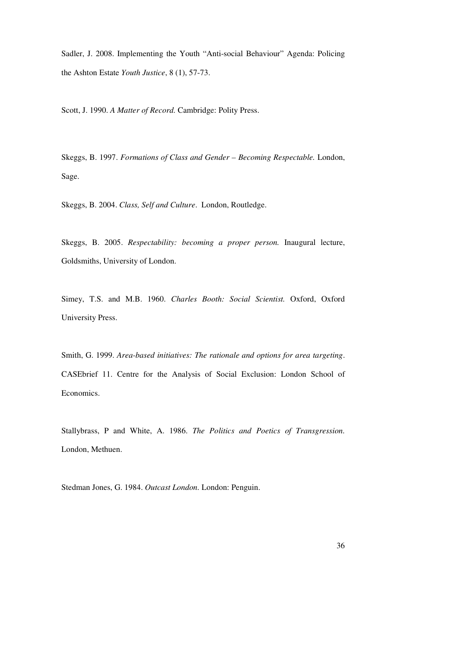Sadler, J. 2008. Implementing the Youth "Anti-social Behaviour" Agenda: Policing the Ashton Estate *Youth Justice*, 8 (1), 57-73.

Scott, J. 1990. *A Matter of Record.* Cambridge: Polity Press.

Skeggs, B. 1997. *Formations of Class and Gender – Becoming Respectable.* London, Sage.

Skeggs, B. 2004. *Class, Self and Culture*. London, Routledge.

Skeggs, B. 2005. *Respectability: becoming a proper person.* Inaugural lecture, Goldsmiths, University of London.

Simey, T.S. and M.B. 1960. *Charles Booth: Social Scientist.* Oxford, Oxford University Press.

Smith, G. 1999. *Area-based initiatives: The rationale and options for area targeting*. CASEbrief 11. Centre for the Analysis of Social Exclusion: London School of Economics.

Stallybrass, P and White, A. 1986. *The Politics and Poetics of Transgression.* London, Methuen.

Stedman Jones, G. 1984. *Outcast London.* London: Penguin.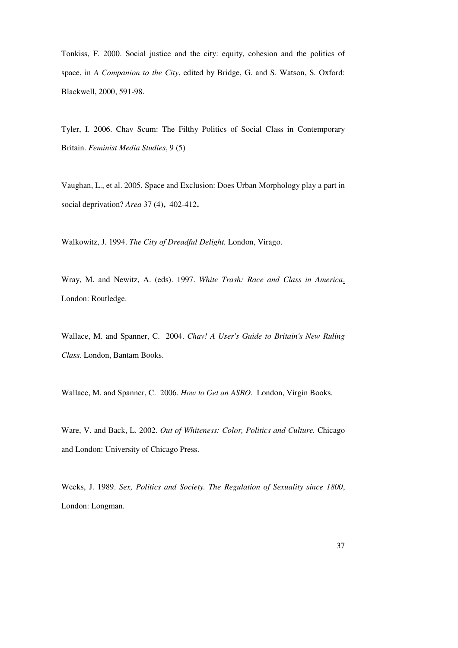Tonkiss, F. 2000. Social justice and the city: equity, cohesion and the politics of space, in *A Companion to the City*, edited by Bridge, G. and S. Watson, S*.* Oxford: Blackwell, 2000, 591-98.

Tyler, I. 2006. Chav Scum: The Filthy Politics of Social Class in Contemporary Britain. *Feminist Media Studies*, 9 (5)

Vaughan, L., et al. 2005. Space and Exclusion: Does Urban Morphology play a part in social deprivation? *Area* 37 (4)**,** 402-412**.**

Walkowitz, J. 1994. *The City of Dreadful Delight.* London, Virago.

Wray, M. and Newitz, A. (eds). 1997. *White Trash: Race and Class in America*. London: Routledge.

Wallace, M. and Spanner, C. 2004. *Chav! A User's Guide to Britain's New Ruling Class.* London, Bantam Books.

Wallace, M. and Spanner, C. 2006. *How to Get an ASBO.* London, Virgin Books.

Ware, V. and Back, L. 2002. *Out of Whiteness: Color, Politics and Culture.* Chicago and London: University of Chicago Press.

Weeks, J. 1989. *Sex, Politics and Society. The Regulation of Sexuality since 1800*, London: Longman.